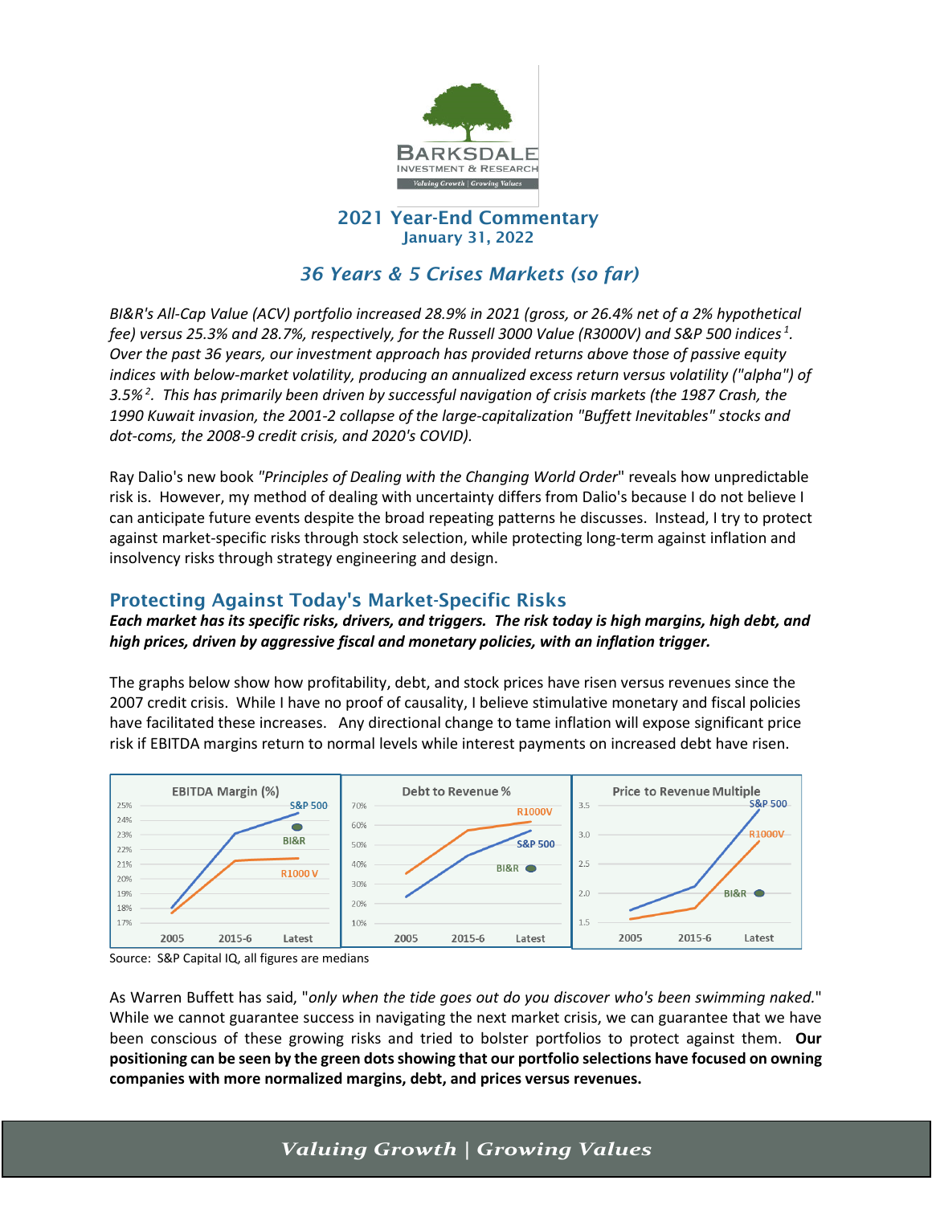

#### 2021 Year-End Commentary January 31, 2022

# *36 Years & 5 Crises Markets (so far)*

*BI&R's All-Cap Value (ACV) portfolio increased 28.9% in 2021 (gross, or 26.4% net of a 2% hypothetical fee) versus 25.3% and 28.7%, respectively, for the Russell 3000 Value (R3000V) and S&P 500 indices <sup>1</sup> . Over the past 36 years, our investment approach has provided returns above those of passive equity indices with below-market volatility, producing an annualized excess return versus volatility ("alpha") of 3.5% <sup>2</sup> . This has primarily been driven by successful navigation of crisis markets (the 1987 Crash, the 1990 Kuwait invasion, the 2001-2 collapse of the large-capitalization "Buffett Inevitables" stocks and dot-coms, the 2008-9 credit crisis, and 2020's COVID).* 

Ray Dalio's new book *"Principles of Dealing with the Changing World Order*" reveals how unpredictable risk is. However, my method of dealing with uncertainty differs from Dalio's because I do not believe I can anticipate future events despite the broad repeating patterns he discusses. Instead, I try to protect against market-specific risks through stock selection, while protecting long-term against inflation and insolvency risks through strategy engineering and design.

# Protecting Against Today's Market-Specific Risks

*Each market has its specific risks, drivers, and triggers. The risk today is high margins, high debt, and high prices, driven by aggressive fiscal and monetary policies, with an inflation trigger.* 

The graphs below show how profitability, debt, and stock prices have risen versus revenues since the 2007 credit crisis. While I have no proof of causality, I believe stimulative monetary and fiscal policies have facilitated these increases. Any directional change to tame inflation will expose significant price risk if EBITDA margins return to normal levels while interest payments on increased debt have risen.



Source: S&P Capital IQ, all figures are medians

As Warren Buffett has said, "*only when the tide goes out do you discover who's been swimming naked.*" While we cannot guarantee success in navigating the next market crisis, we can guarantee that we have been conscious of these growing risks and tried to bolster portfolios to protect against them. **Our positioning can be seen by the green dotsshowing that our portfolio selections have focused on owning companies with more normalized margins, debt, and prices versus revenues.**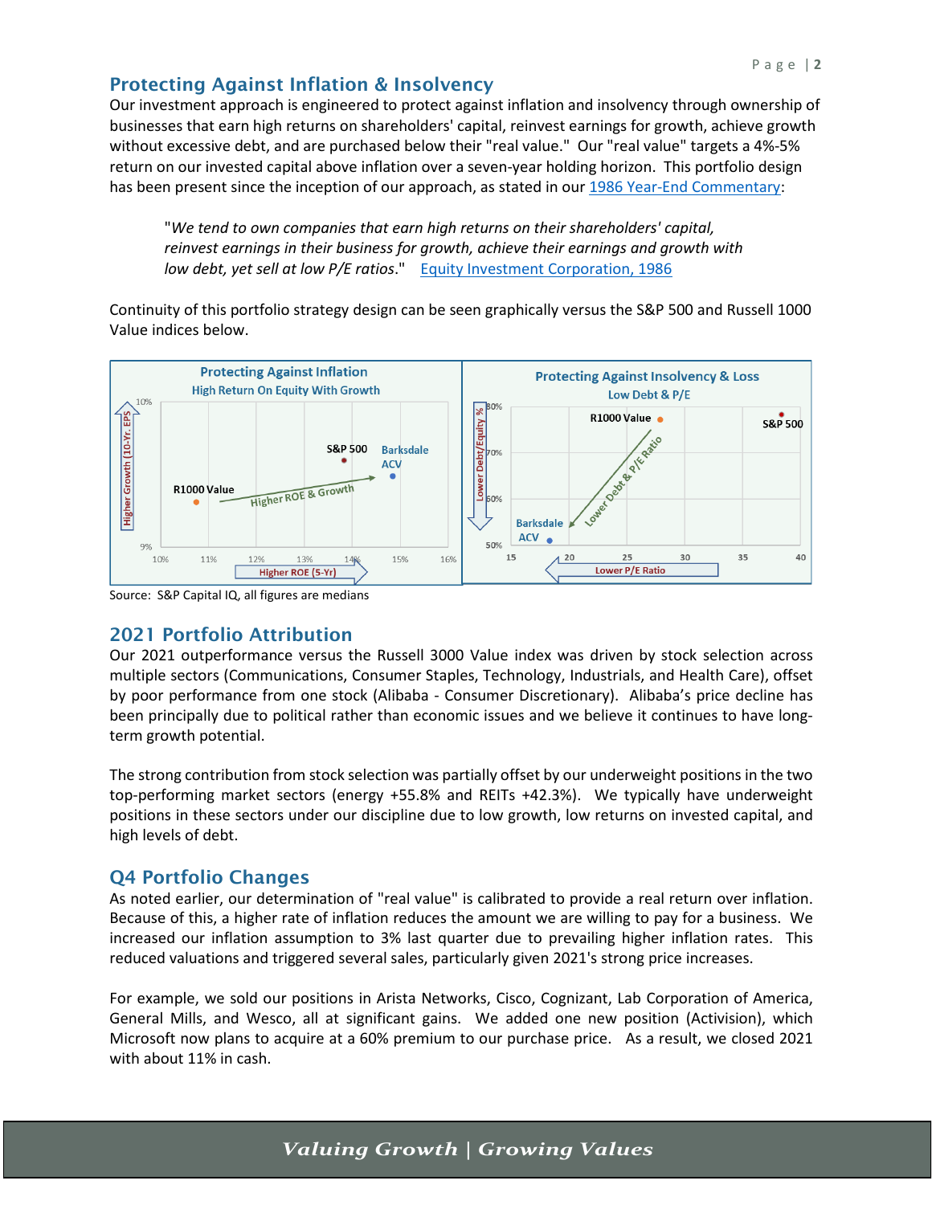## Protecting Against Inflation & Insolvency

Our investment approach is engineered to protect against inflation and insolvency through ownership of businesses that earn high returns on shareholders' capital, reinvest earnings for growth, achieve growth without excessive debt, and are purchased below their "real value." Our "real value" targets a 4%-5% return on our invested capital above inflation over a seven-year holding horizon. This portfolio design has been present since the inception of our approach, as stated in our [1986 Year-End Commentary:](https://f.hubspotusercontent30.net/hubfs/6869280/1986-Q4-QuarterlyCommentary-EIC.pdf)

"*We tend to own companies that earn high returns on their shareholders' capital, reinvest earnings in their business for growth, achieve their earnings and growth with low debt, yet sell at low P/E ratios*." [Equity Investment Corporation,](https://f.hubspotusercontent30.net/hubfs/6869280/1986-Q4-QuarterlyCommentary-EIC.pdf) 1986

Continuity of this portfolio strategy design can be seen graphically versus the S&P 500 and Russell 1000 Value indices below.



Source: S&P Capital IQ, all figures are medians

### 2021 Portfolio Attribution

Our 2021 outperformance versus the Russell 3000 Value index was driven by stock selection across multiple sectors (Communications, Consumer Staples, Technology, Industrials, and Health Care), offset by poor performance from one stock (Alibaba - Consumer Discretionary). Alibaba's price decline has been principally due to political rather than economic issues and we believe it continues to have longterm growth potential.

The strong contribution from stock selection was partially offset by our underweight positions in the two top-performing market sectors (energy +55.8% and REITs +42.3%). We typically have underweight positions in these sectors under our discipline due to low growth, low returns on invested capital, and high levels of debt.

### Q4 Portfolio Changes

As noted earlier, our determination of "real value" is calibrated to provide a real return over inflation. Because of this, a higher rate of inflation reduces the amount we are willing to pay for a business. We increased our inflation assumption to 3% last quarter due to prevailing higher inflation rates. This reduced valuations and triggered several sales, particularly given 2021's strong price increases.

For example, we sold our positions in Arista Networks, Cisco, Cognizant, Lab Corporation of America, General Mills, and Wesco, all at significant gains. We added one new position (Activision), which Microsoft now plans to acquire at a 60% premium to our purchase price. As a result, we closed 2021 with about 11% in cash.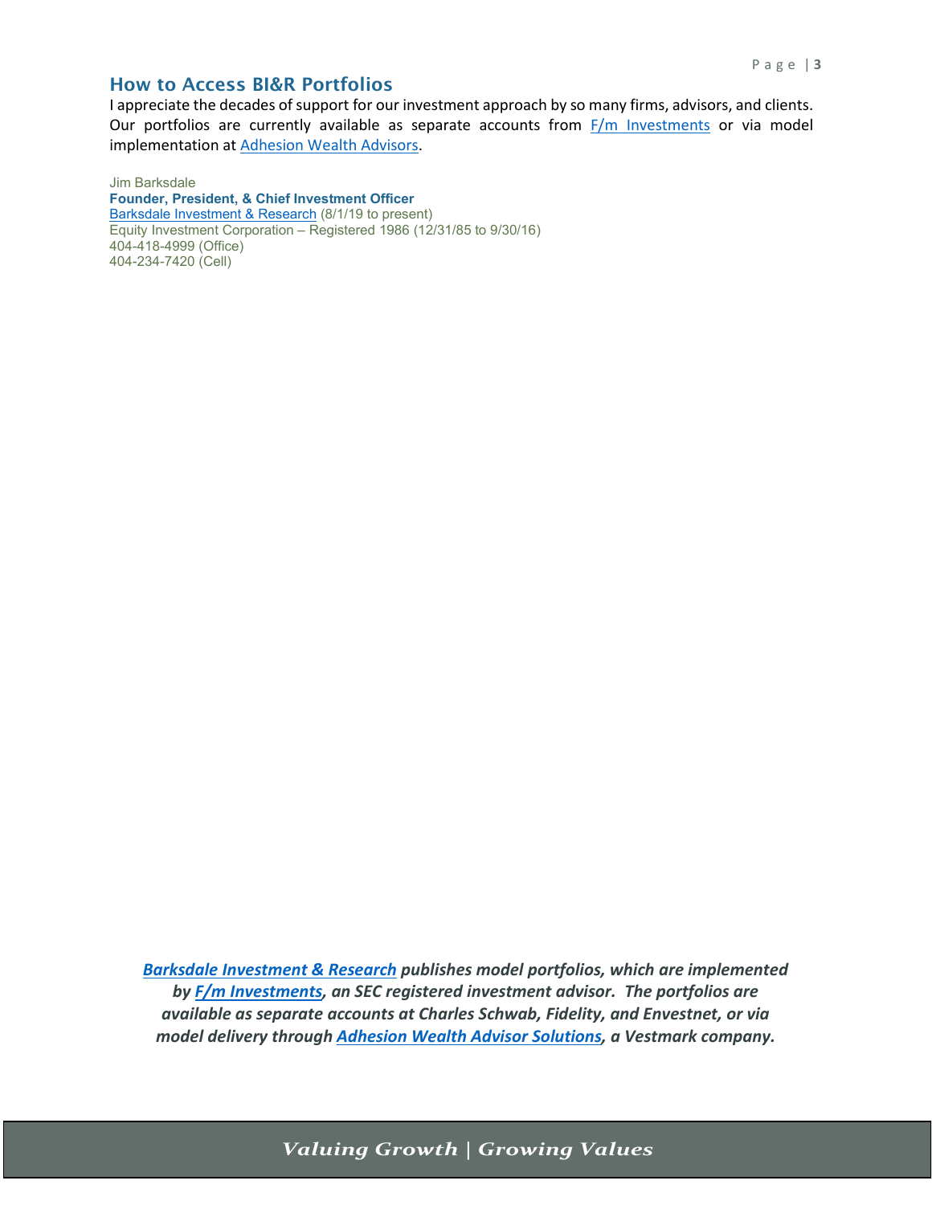#### How to Access BI&R Portfolios

I appreciate the decades of support for our investment approach by so many firms, advisors, and clients. Our portfolios are currently available as separate accounts from  $F/m$  Investments or via model implementation at [Adhesion Wealth Advisors.](https://www.adhesionwealth.com/roster-of-managers)

Jim Barksdale **Founder, President, & Chief Investment Officer** [Barksdale Investment & Research](http://www.barksdaleinvestment.com/) (8/1/19 to present) Equity Investment Corporation – Registered 1986 (12/31/85 to 9/30/16) 404-418-4999 (Office) 404-234-7420 (Cell)

*[Barksdale Investment & Research](https://barksdaleinvestment.com/) publishes model portfolios, which are implemented by [F/m Investments,](https://www.fmacceleration.com/) an SEC registered investment advisor. The portfolios are available as separate accounts at Charles Schwab, Fidelity, and Envestnet, or via model delivery through [Adhesion Wealth Advisor Solutions,](https://www.adhesionwealth.com/roster-of-managers) a Vestmark company.*